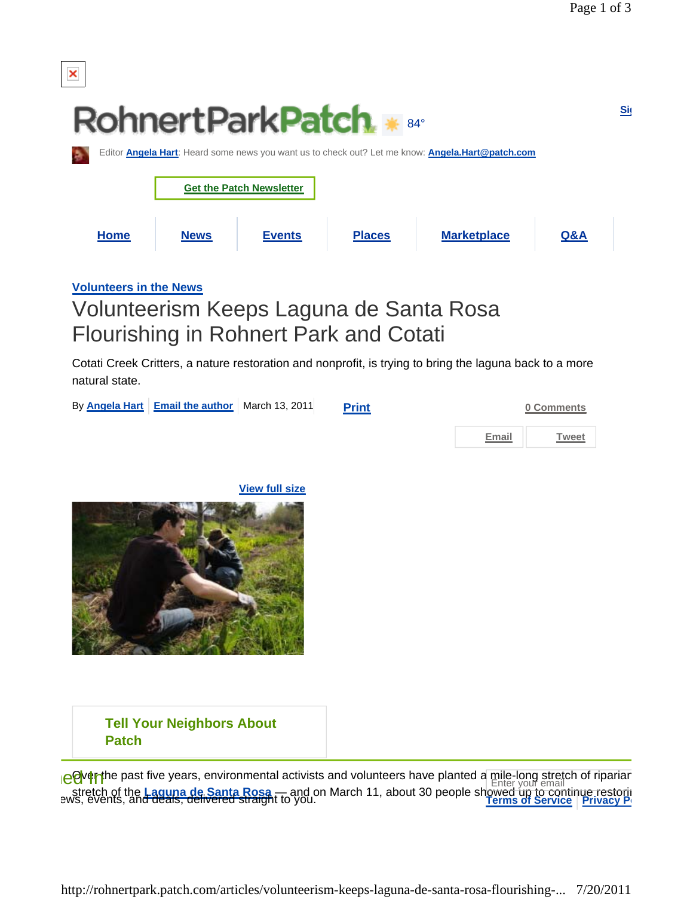

**Volunteers in the News**

## Volunteerism Keeps Laguna de Santa Rosa Flourishing in Rohnert Park and Cotati

Cotati Creek Critters, a nature restoration and nonprofit, is trying to bring the laguna back to a more natural state.

|  | By Angela Hart Email the author March 13, 2011 | <b>Print</b> |       | 0 Comments |
|--|------------------------------------------------|--------------|-------|------------|
|  |                                                |              | Email | Tweet      |
|  |                                                |              |       |            |

**View full size**



## **Tell Your Neighbors About Patch**

**COver the past five years, environmental activists and volunteers have planted a mile-long stretch of riparian** stretch of the **Laguna de Santa Rosa** — and on March 11, about 30 people showed up to continue restorin ews, events, and deals, delivered straight to you. **Terms of Service Privacy Po**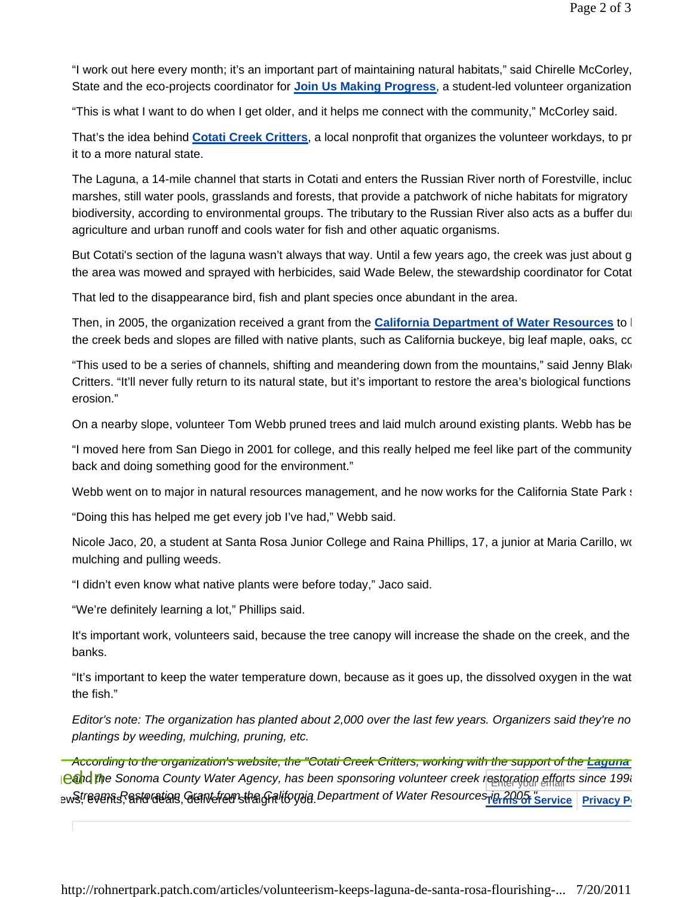"I work out here every month; it's an important part of maintaining natural habitats," said Chirelle McCorley, State and the eco-projects coordinator for **Join Us Making Progress**, a student-led volunteer organization

"This is what I want to do when I get older, and it helps me connect with the community," McCorley said.

That's the idea behind **Cotati Creek Critters**, a local nonprofit that organizes the volunteer workdays, to pr it to a more natural state.

The Laguna, a 14-mile channel that starts in Cotati and enters the Russian River north of Forestville, incluc marshes, still water pools, grasslands and forests, that provide a patchwork of niche habitats for migratory biodiversity, according to environmental groups. The tributary to the Russian River also acts as a buffer dur agriculture and urban runoff and cools water for fish and other aquatic organisms.

But Cotati's section of the laguna wasn't always that way. Until a few years ago, the creek was just about g the area was mowed and sprayed with herbicides, said Wade Belew, the stewardship coordinator for Cotat

That led to the disappearance bird, fish and plant species once abundant in the area.

Then, in 2005, the organization received a grant from the **California Department of Water Resources** to h the creek beds and slopes are filled with native plants, such as California buckeye, big leaf maple, oaks, co

"This used to be a series of channels, shifting and meandering down from the mountains," said Jenny Blake Critters. "It'll never fully return to its natural state, but it's important to restore the area's biological functions erosion."

On a nearby slope, volunteer Tom Webb pruned trees and laid mulch around existing plants. Webb has be

"I moved here from San Diego in 2001 for college, and this really helped me feel like part of the community back and doing something good for the environment."

Webb went on to major in natural resources management, and he now works for the California State Park state

"Doing this has helped me get every job I've had," Webb said.

Nicole Jaco, 20, a student at Santa Rosa Junior College and Raina Phillips, 17, a junior at Maria Carillo, wo mulching and pulling weeds.

"I didn't even know what native plants were before today," Jaco said.

"We're definitely learning a lot," Phillips said.

It's important work, volunteers said, because the tree canopy will increase the shade on the creek, and the banks.

"It's important to keep the water temperature down, because as it goes up, the dissolved oxygen in the wat the fish."

*Editor's note: The organization has planted about 2,000 over the last few years. Organizers said they're no plantings by weeding, mulching, pruning, etc.* 

*According to the organization's website, the "Cotati Creek Critters, working with the support of the Laguna*  **eand th**e Sonoma County Water Agency, has been sponsoring volunteer creek restoration efforts since 199. อพริ!*์ เอลย*คร<sub>์</sub> Restorating Grant from the Gralifornia Department of Water Resources <u>Ha 2005 "service Privacy P</u>o